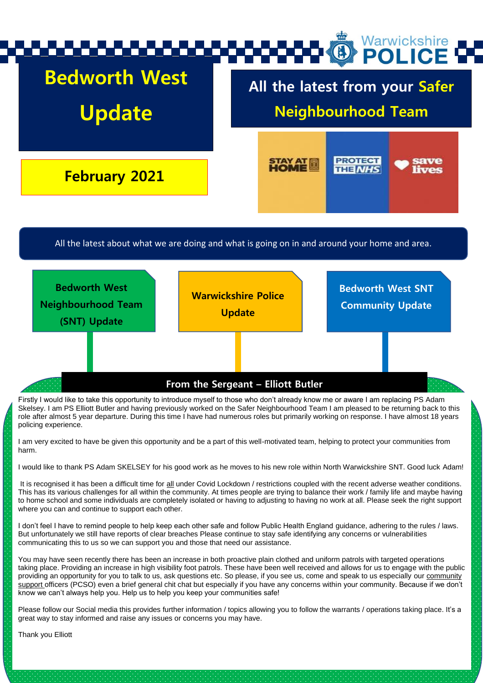

role after almost 5 year departure. During this time I have had numerous roles but primarily working on response. I have almost 18 years policing experience.

I am very excited to have be given this opportunity and be a part of this well-motivated team, helping to protect your communities from harm.

I would like to thank PS Adam SKELSEY for his good work as he moves to his new role within North Warwickshire SNT. Good luck Adam!

It is recognised it has been a difficult time for all under Covid Lockdown / restrictions coupled with the recent adverse weather conditions. This has its various challenges for all within the community. At times people are trying to balance their work / family life and maybe having to home school and some individuals are completely isolated or having to adjusting to having no work at all. Please seek the right support where you can and continue to support each other.

I don't feel I have to remind people to help keep each other safe and follow Public Health England guidance, adhering to the rules / laws. But unfortunately we still have reports of clear breaches Please continue to stay safe identifying any concerns or vulnerabilities communicating this to us so we can support you and those that need our assistance.

You may have seen recently there has been an increase in both proactive plain clothed and uniform patrols with targeted operations taking place. Providing an increase in high visibility foot patrols. These have been well received and allows for us to engage with the public providing an opportunity for you to talk to us, ask questions etc. So please, if you see us, come and speak to us especially our community support officers (PCSO) even a brief general chit chat but especially if you have any concerns within your community. Because if we don't know we can't always help you. Help us to help you keep your communities safe!

Please follow our Social media this provides further information / topics allowing you to follow the warrants / operations taking place. It's a great way to stay informed and raise any issues or concerns you may have.

Thank you Elliott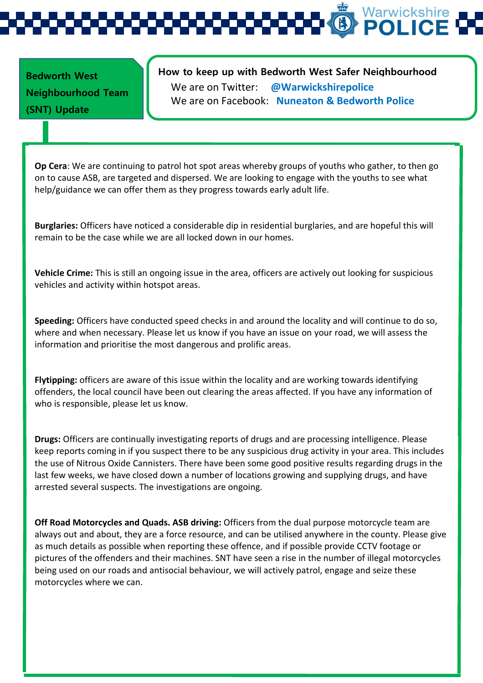Warwickshire **POLIC** 

**Bedworth West Neighbourhood Team (SNT) Update** 

## **How to keep up with Bedworth West Safer Neighbourhood Team** We are on Twitter: **@Warwickshirepolice** We are on Facebook: **Nuneaton & Bedworth Police**

**Op Cera**: We are continuing to patrol hot spot areas whereby groups of youths who gather, to then go on to cause ASB, are targeted and dispersed. We are looking to engage with the youths to see what help/guidance we can offer them as they progress towards early adult life.

**Burglaries:** Officers have noticed a considerable dip in residential burglaries, and are hopeful this will remain to be the case while we are all locked down in our homes.

**Vehicle Crime:** This is still an ongoing issue in the area, officers are actively out looking for suspicious vehicles and activity within hotspot areas.

**Speeding:** Officers have conducted speed checks in and around the locality and will continue to do so, where and when necessary. Please let us know if you have an issue on your road, we will assess the information and prioritise the most dangerous and prolific areas.

**Flytipping:** officers are aware of this issue within the locality and are working towards identifying offenders, the local council have been out clearing the areas affected. If you have any information of who is responsible, please let us know.

**Drugs:** Officers are continually investigating reports of drugs and are processing intelligence. Please keep reports coming in if you suspect there to be any suspicious drug activity in your area. This includes the use of Nitrous Oxide Cannisters. There have been some good positive results regarding drugs in the last few weeks, we have closed down a number of locations growing and supplying drugs, and have arrested several suspects. The investigations are ongoing.

**Off Road Motorcycles and Quads. ASB driving:** Officers from the dual purpose motorcycle team are always out and about, they are a force resource, and can be utilised anywhere in the county. Please give as much details as possible when reporting these offence, and if possible provide CCTV footage or pictures of the offenders and their machines. SNT have seen a rise in the number of illegal motorcycles being used on our roads and antisocial behaviour, we will actively patrol, engage and seize these motorcycles where we can.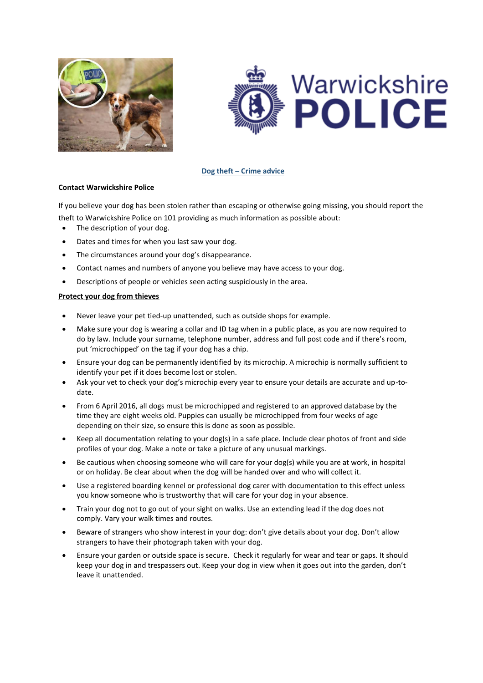



### **Dog theft – Crime advice**

### **Contact Warwickshire Police**

If you believe your dog has been stolen rather than escaping or otherwise going missing, you should report the theft to Warwickshire Police on 101 providing as much information as possible about:

- The description of your dog.
- Dates and times for when you last saw your dog.
- The circumstances around your dog's disappearance.
- Contact names and numbers of anyone you believe may have access to your dog.
- Descriptions of people or vehicles seen acting suspiciously in the area.

### **Protect your dog from thieves**

- Never leave your pet tied-up unattended, such as outside shops for example.
- Make sure your dog is wearing a collar and ID tag when in a public place, as you are now required to do by law. Include your surname, telephone number, address and full post code and if there's room, put 'microchipped' on the tag if your dog has a chip.
- Ensure your dog can be [permanently](http://www.nottinghamshire.police.uk/advice/animals/microchip) identified by its microchip. A microchip is normally sufficient to identify your pet if it does become lost or stolen.
- Ask your vet to check your dog's microchip every year to ensure your details are accurate and up-todate.
- From 6 April 2016, all dogs must be microchipped and registered to an approved database by the time they are eight weeks old. Puppies can usually be microchipped from four weeks of age depending on their size, so ensure this is done as soon as possible.
- Keep all documentation relating to your dog(s) in a safe place. Include clear photos of front and side profiles of your dog. Make a note or take a picture of any unusual markings.
- Be cautious when choosing someone who will care for your dog(s) while you are at work, in hospital or on holiday. Be clear about when the dog will be handed over and who will collect it.
- Use a registered boarding kennel or professional dog carer with documentation to this effect unless you know someone who is trustworthy that will care for your dog in your absence.
- Train your dog not to go out of your sight on walks. Use an extending lead if the dog does not comply. Vary your walk times and routes.
- Beware of strangers who show interest in your dog: don't give details about your dog. Don't allow strangers to have their photograph taken with your dog.
- Ensure your garden or outside space is secure. Check it regularly for wear and tear or gaps. It should keep your dog in and trespassers out. Keep your dog in view when it goes out into the garden, don't leave it unattended.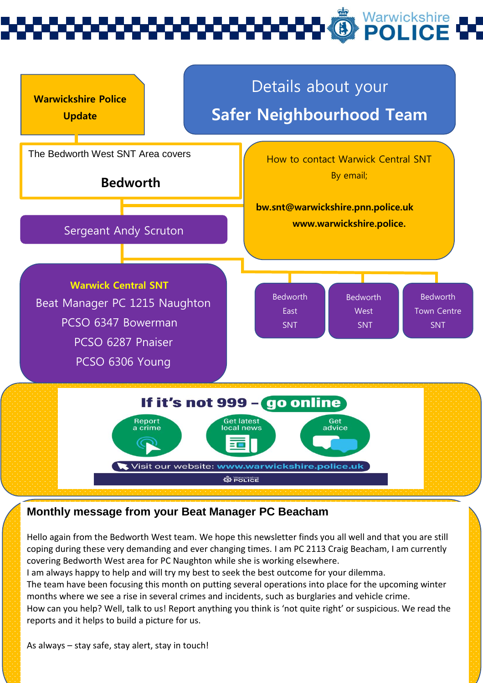# Warwickshire<br>**POLICE**



## **Monthly message from your Beat Manager PC Beacham**

Hello again from the Bedworth West team. We hope this newsletter finds you all well and that you are still coping during these very demanding and ever changing times. I am PC 2113 Craig Beacham, I am currently covering Bedworth West area for PC Naughton while she is working elsewhere.

I am always happy to help and will try my best to seek the best outcome for your dilemma.

The team have been focusing this month on putting several operations into place for the upcoming winter months where we see a rise in several crimes and incidents, such as burglaries and vehicle crime.

How can you help? Well, talk to us! Report anything you think is 'not quite right' or suspicious. We read the reports and it helps to build a picture for us.

As always – stay safe, stay alert, stay in touch!